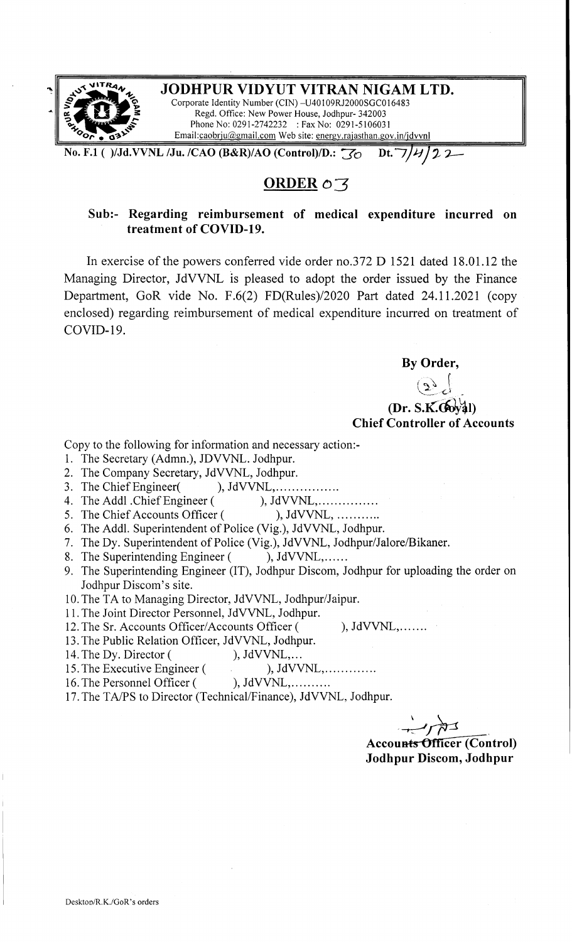

**No. F.1 ( )/Jd.VVNL /Ju. /CAO (B&R)/AO (Control)/D.:**  $\frac{1}{30}$  **Dt.**  $\frac{1}{4}$ **/22** 

### **ORDER**  $\circ$  3

#### **Sub:- Regarding reimbursement of medical expenditure incurred on treatment of COVID-19.**

In exercise of the powers conferred vide order no.372 D 1521 dated 18.01.12 the Managing Director, JdVVNL is pleased to adopt the order issued by the Finance Department, GoR vide No. F.6(2) FD(Rules)/2020 Part dated 24.11.2021 (copy enclosed) regarding reimbursement of medical expenditure incurred on treatment of COVID-19.

**By Order,** 

 $(2)$   $\int$ (Dr. S.K.Goyal) **Chief Controller of Accounts** 

Copy to the following for information and necessary action:-

- 1. The Secretary (Admn.), JDVVNL. Jodhpur.
- 2. The Company Secretary, JdVVNL, Jodhpur.
- 3. The Chief Engineer( ), JdVVNL, ... ... ... ........
- 4. The Addl .Chief Engineer ( ), JdVVNL, .
- 5. The Chief Accounts Officer ( ), JdVVNL, ............
- 6. The Addl. Superintendent of Police (Vig.), JdVVNL, Jodhpur.
- 7. The Dy. Superintendent of Police (Vig.), JdVVNL, Jodhpur/Jalore/Bikaner.<br>8. The Superintending Engineer (), JdVVNL,......
- 8. The Superintending Engineer (
- 9. The Superintending Engineer (IT), Jodhpur Discom, Jodhpur for uploading the order on Jodhpur Discom's site.
- 10. The TA to Managing Director, JdVVNL, Jodhpur/Jaipur.
- 11. The Joint Director Personnel, JdVVNL, Jodhpur.
- 12. The Sr. Accounts Officer/Accounts Officer ( ), JdVVNL,.......
- 13. The Public Relation Officer, JdVVNL, Jodhpur.
- 
- 14. The Dy. Director (
(b), JdVVNL,...<br>
15. The Executive Engineer (
(b), JdVVNL,.............. 15. The Executive Engineer (
- 16. The Personnel Officer ( ), JdVVNL, ... ... ...
- 17. The TA/PS to Director (Technical/Finance), JdVVNL, Jodhpur.

Accounts Officer (Control) WNL,.......<br>
thpur.<br> **Accounts Officer (Control)**<br> **Jodhpur Discom, Jodhpur Jodhpur Discom, Jodhpur**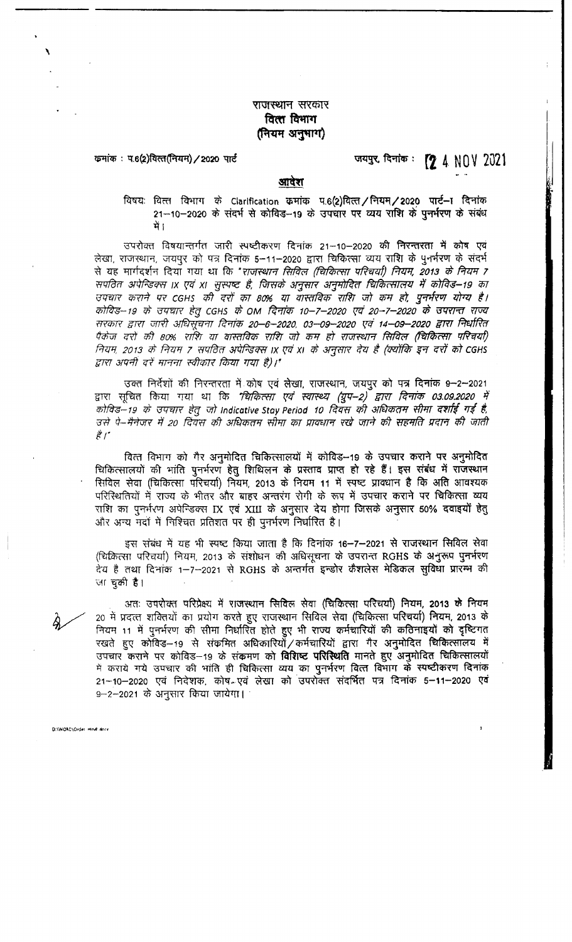#### राजस्थान सरकार वित्त विभाग (नियम अनुभाग)

कमांक: प.6(2)वित्त(नियम) / 2020 पार्ट

जयपुर, दिनांक: <sup>2</sup>2 4 NOV 2021

#### आवेश

विषयः वित्त विभाग के Clarification कमांक प.6(2)वित्त/नियम/2020 पार्ट-ा दिनांक 21-10-2020 के संदर्भ से कोविड-19 के उपचार पर व्यय राशि के पुनर्भरण के संबंध में 1

उपरोक्त विषयान्तर्गत जारी स्पष्टीकरण दिनांक 21-10-2020 की निरन्तरता में कोष एवं लेखा, राजस्थान, जयपुर को पत्र दिनांक 5-11-2020 द्वारा चिकित्सा व्यय राशि के पुनर्भरण के संदर्भ से यह मार्गदर्शन दिया गया था कि "*राजस्थान सिविल (चिकित्सा परिचर्या) नियम, 2013 के नियम 7* सपठित अपेन्डिक्स IX एवं XI सुस्पष्ट है, जिसके अनुसार अनुमोदित चिकित्सालय में कोविड–19 का उपचार कराने पर CGHs की दरों का 80% या वास्तविक राशि जो कम हो, पुनर्भरण योग्य है। कोविड–19 के उपचार हेतु CGHS के OM दिनांक 10–7–2020 एवं 20–7–2020 के उपरान्त राज्य सरकार द्वारा जारी अधिसूंचना दिनांक 20–6–2020, 03–09–2020 एवं 14–09–2020 द्वारा निर्धारित पैकेज दरों की 80% राशि या वास्तविक राशि जो कम हो राजस्थान सिविल (चिकित्सा परिचयी) नियम, 2013 के नियम 7 सपतित अपेन्डिक्स IX एवं XI के अनुसार देय है (क्योंकि इन दरों को CGHS द्वारा अपनी दरें मानना स्वीकार किया गया है)।"

उक्त निर्देशों की निरन्तरता में कोष एवं लेखा, राजस्थान, जयपुर को पत्र दिनांक 9–2–2021 द्वारा सूचित किया गया था कि *'चिकित्सा एवं स्वास्थ्य (ग्रुप–2) द्वारा दिनांक 03.09.2020 में* कोविड—19 के उपचार हेतु जो Indicative Stay Period 10 दिवस की अधिकतम सीमा दर्शाई गई है, उसे पे–मैनेजर में 20 दिवस की अधिकतम सीमा का प्रावधान रखे जाने की सहमति प्रदान की जाती  $\overrightarrow{\varepsilon}$  /  $\overrightarrow{\cdot}$ 

वित्त विभाग को गैर अनुमोदित चिकित्सालयों में कोविड—19 के उपचार कराने पर अनुमोदित चिकित्सालयों की भांति पुनर्भरण हेतु शिथिलन के प्रस्ताव प्राप्त हो रहे हैं। इस संबंध में राजस्थान सिविल सेवा (चिकित्सा परिचर्या) नियम, 2013 के नियम 11 में स्पष्ट प्रावधान है कि अति आवश्यक परिस्थितियों में राज्य के भीतर और बाहर अन्तरंग रोगी के रूप में उपचार कराने पर चिकित्सा व्यय राशि का पुनर्भरण अपेन्डिक्स IX एवं XIII के अनुसार देय होगा जिसके अनुसार 50% दवाइयों हेतु और अन्य मदों में निश्चित प्रतिशत पर ही पुनर्भरण निर्धारित है।

इस संबंध में यह भी स्पष्ट किया जाता है कि दिनांक 16–7–2021 से राजस्थान सिविल सेवा (चिकित्सा परिचर्या) नियम, 2013 के संशोधन की अधिसूचना के उपरान्त RGHS के अनुरूप पुनर्भरण देय है तथा दिनांक 1–7–2021 से RGHS के अन्तर्गत इन्डोर कैशलेस मेडिकल सुविधा प्रारम्भ की जा चुकी है।

अतः उपरोक्त परिप्रेक्ष्य में राजस्थान सिविल सेवा (चिकित्सा परिचर्या) नियम, 2013 के नियम 20 में प्रदत्त शक्तियों का प्रयोग करते हुए राजस्थान सिविल सेवा (चिकित्सा परिचर्या) नियम, 2013 के नियम 11 में पुनर्भरण की सीमा निर्धारित होते हुए भी राज्य कर्मचारियों की कठिनाइयों को दृष्टिगत रखते हुए कोविड—19 से संकमित अधिकारियोँ ⁄ कर्मचारियों द्वारा गैर अनुमोदित चिकित्सालय में उपचार कराने पर कोविड-19 के संकमण को विशिष्ट परिस्थिति मानते हुए अनुमोदित चिकित्सालयों में कराये गये उपचार की भांति ही चिकित्सा व्यय का पुनर्भरण वित्त विभाग के स्पष्टीकरण दिनांक 21–10–2020 एवं निदेशक, कोष-एवं लेखा को उपरोक्त संदर्भित पत्र दिनांक 5–11–2020 एवं 9–2–2021 के अनुसार किया जायेगा।

**D:\WORD\Order\_Hindl.docs**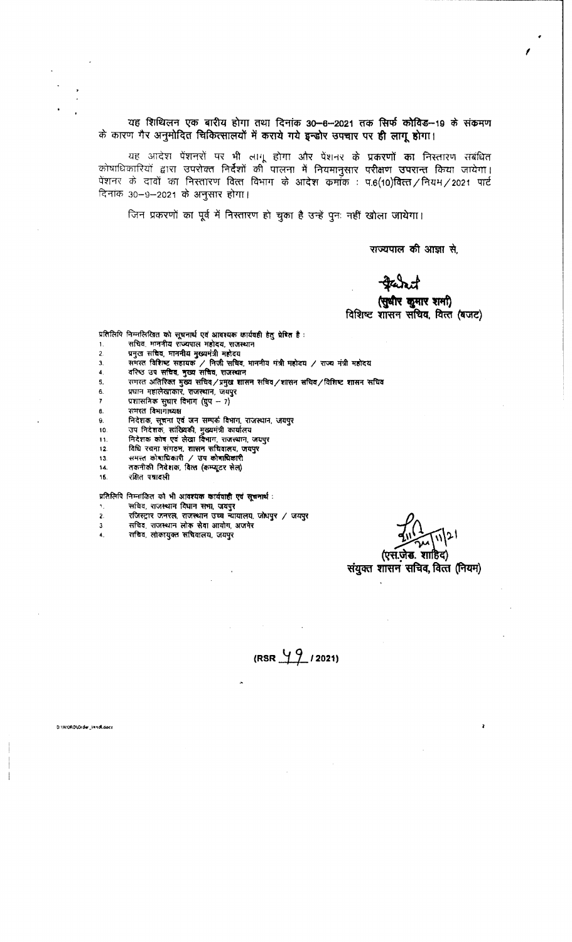यह शिथिलन एक बारीय होगा तथा दिनांक 30<del>-8-2021 तक सिर्फ कोविड--19 के संक्रमण</del><br>यह शिथिलन एक बारीय होगा तथा दिनांक 30<del>-8-2021 तक सिर्फ कोविड--19 के संक्रमण</del><br>यू गैर अनमोदित चिकित्सालयों में कराये गये इन्डोर सफ्टार पर ही लाग ह के कारण गैर अनुमोदित चिकित्सालयों में कराये गये इन्डोर उपचार पर ही लागू होगा।

~ यह स्वायलन एक बाराय होना तथा दिनाक उठ—6—2021 तक त्सक काविड—19 के सक्सन<br>ग गैर अनुमोदित चिकित्सालयों में कराये गये इन्डोर उपचार पर ही लागू होगा।<br>यह आदेश पेंशनरों पर भी लागू होगा और पेंशनर के प्रकरणों का निस्तारण .&WT '34-<lcm ~ qft qm-;n *-q* Pill'iljftl-< qira;crr GQ:.al~ fcm:rT vlri.rrn <sup>I</sup> यह आदेश पेशनरों पर भी लागू होगा और पेशनर के प्रकरणों का निस्तारण संबंधित<br>कोषाधिकारियों द्वारा उपरोक्त निर्देशों की पालना में नियमानुसार परीक्षण उपरान्त किया जायेगा।<br>पेशनर के दावों का निस्तारण वित्त विभाग के आदेश कमांक : प पेंशनर के दावों का निस्तारण वित्त विभाग के आदेश कमाँक : प.6(10)वित्त / नियम / 2021 पार्ट<br>दिनांक 30–9–2021 के अनुसार होगा।<br>- जिन प्रकरणों का पूर्व में निस्तारण हो चुका है उन्हें पुनः नहीं खोला जायेगा।

राज्यपाल की आज्ञा से.

# *I* 

(सुधीर कुमार शमा) विशिष्ट शासन सचिव, वित्त (बजट)

प्रतिलिपि निम्नलिखित को सूचनार्थ एवं आवश्यक कार्यवही हेतु प्रेषित है :<br>1. सचिव, माननीय राज्यपाल महोदय, राजस्थान<br>2. प्रमुख सचिव, माननीय मुख्यमंत्री महोदय

- प्रतिलिपि निम्नलिखित को <mark>सूचनार्थ एवं आवश्यक कार्यवा</mark><br>1. सचिव, माननीय राज्यपाल महोदय, राजस्थान<br>2. प्रमुख सचिव, माननीय मुख्यमंत्री महोदय<br>3. समस्त विशिष्ट सहायक / निजी सचिव, मान
- 
- 
- 
- 3. ~ ~ ~ / ~ ~- **lfFATTI rnfl ~ / ~ ":j:Jt ~**  4. ~i3"Q~.~~-~ 5, WTm ~ ~ ~/~ ~ **~/llTWf ~/Mre mR ~**  3. समस्त ग्वाशब्ट सहायक / निजी सचिव, 1<br>4. वरिष्ठ उप सचिव, मुख्य सचिव, राजस्थान<br>5. प्रधान महालेखाकार, राजस्थान, जयपुर<br>6. प्रशासनिक सघार विभाग (ग्रप -- 7)<br>7. प्रशासनिक सघार विभाग
- <sup>7</sup>\ltllflPi(l'} **p ~ ~** 7)
- 
- 
- 8. ~ **~1JJUJ~**  9. ~-~~'GR~~.~-~ 10. ~ ~- ~- ~ ~ 11. ~ **?fn't\' ~ ~ ~- ~. ~**  12. ~ ~ ~- lllWt ~- ~
- 
- *u. ~* r.tcr,r~. ~ ~ ~~ Hi. ,(14'{(1 tr.fl~
- \3. -Hl,i<f ~~~ / \J'I ~ ••• **~q,ifl**
- 
- 
- 

- ~~~"'~~~~- , ~- ~ ~ 'fr'll, ~ प्रतिलिपि निम्नांकित को भी आवश्य<mark>क कार्यवाही एवं सूचनार्थ</mark><br>1. सचिव, राजस्थान विघान समा, जयपुर<br>2. रजिस्ट्रार जनरल, राजस्थान उच्च न्यायालय, जोध्!<br>3 सचिव, लोकायुक्त संविवालय, जयपुर<br>4. सचिव, लोकायु
- 2. ~ wffi,f, ~ '3'5:1 ~- ~ / ~
- 

(एस.जेड. शाहिद)

# संयुक्त शासन सचिव, वित्त (नियम)

 $(RSR \frac{49}{12021})$ 

D:\WORD\Order\_HindLdocz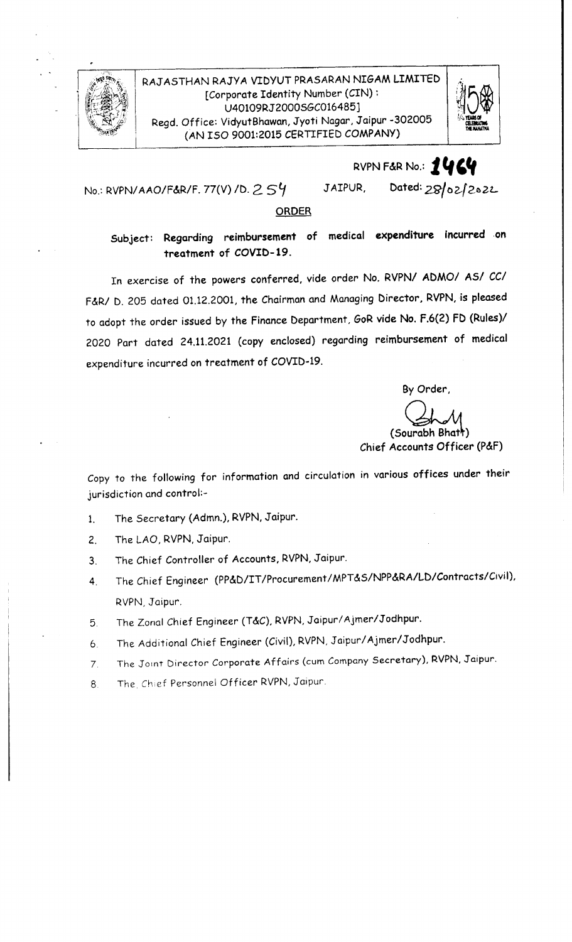

#### RAJ ASTHAN RAJYA VIDYUT PRASARAN NIGAM LIMITED [Corporate Identity Number (CIN): U40109RJ2000SGC016485] Regd. O\_ff ice: VidyutBhawan, Jyoti Nagar, Jaipur -302005 (AN ISO 9001:2015 CERTIFIED COMPANY)



# RVPN F&R No.: 2464

No.: RVPN/AAO/F&R/F. 77(V) /D.  $2$   $\mathsf{S}4$   $^{\circ}$ 

JAIPUR, Dated:  $28/02/2022$ 

#### **ORDER**

Subject: Regarding reimbursement of medical **expenditure** Incurred .en treatment of COVID-19.

In exercise of the powers conferred, vide order No. RVPN/ ADMO/ AS/ *CCI*  F&R/ D. 205 dated 01.12.2001, the Chairman and Managing Director, RVPN, is pleased to adopt the order issued by the Finance Department, GoR **vide No.** F.6(2) FD (Rules)/ 2020 Part dated 24.11.2021 (copy enclosed) regarding reimbursement of medical expenditure incurred on treatment of COVID-19.

By Order,

By Order,<br>
(Sourabh Bhatt)<br>
Chief Accounts Officer (P&F)

Copy to the following for information and circulation in various offices under their jurisdiction and control:-

- 1. The Secretary (Admn.), RVPN, Jaipur.
- 2. The LAO, RVPN, Jaipur.
- 3. The Chief Controller of Accounts, RVPN, Jaipur.
- 4. The Chief Engineer (PP&D/IT/Procurement/MPT&S/NPP&RA/LD/Contracts/C1vil), RVPN, Jaipur.
- 5. The Zonal Chief Engineer (T&C), RVPN, Jaipur/ Ajmer/Jodhpur.
- 6. The Additional Chief Engineer (Civil), RVPN, Jaipur/ Ajmer/Jodhpur.
- 7. The Joint Director Corporate Affairs (cum Company Secretary), **RVPN,** Jaipur.
- 8. The. Ch;ef Personnel Officer RVPN, Jaipur.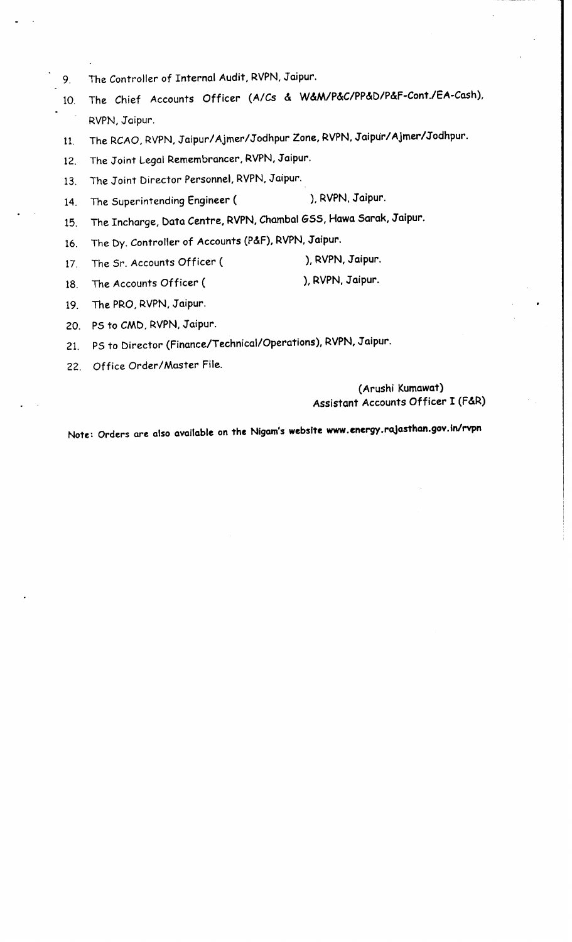- 9. The Controller of Internal Audit, RVPN, Jaipur.
- 10. The Chief Accounts Officer (A/Cs & W&M/P&C/PP&D/P&f-Cont./EA-Cash), RVPN, Jaipur.
- 11. The RCAO, RVPN, Jaipur/Ajmer/Jodhpur Zone, RVPN, Jaipur/Ajmer/Jodhpur.
- 12. The Joint Legal Remembrancer, RVPN, Jaipur.
- 13. The Joint Director Personnel, RVPN, Jaipur.
- 14. The Superintending Engineer (State Steven, Jaipur.
- 15. The Incharge, Data Centre, RVPN, Chambal GSS, Hawa Sarak, Jaipur.
- 16. The Dy. Controller of Accounts (P&F), RVPN, Jaipur.
- 17. The Sr. Accounts Officer ( ), RVPN, Jaipur.
- 18. The Accounts Officer ( ), RVPN, Jaipur.
- 19. The PRO, RVPN, Jaipur.
- 20. PS to CMD, RVPN, Jaipur.
- 21. PS to Director (Finance/Technical/Operations), RVPN, Jaipur.
- 22. Office Order/Master File.

#### (Arushi Kumawat) Assistant Accounts Officer I (F&R)

Note: Orders are also available on the Nigam's **website www.energy.rajosthan.gov.in/rvpn**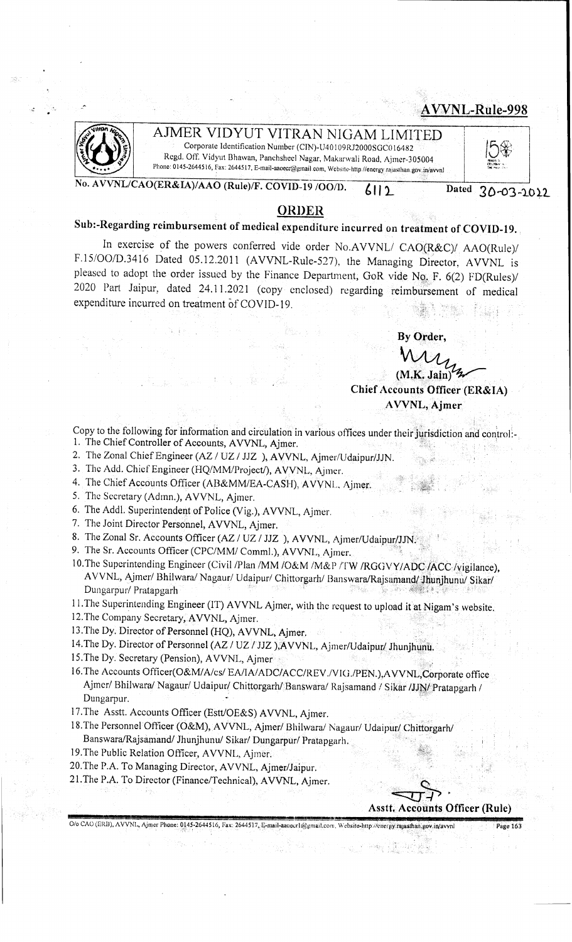### **: AVVNL-Rule-998**



## AIMER VIDYUT VITRAN NIGAM LIMITED

Corporate Identification Number (CIN)-U40109RJ2000SGCO 16482 Regd. Off. Vidyut Bhawan, Panchsheel Nagar, Makarwali Road, Ajmer-305004 Phone: 0145-2644516, Fax: 2644517, E-mail-aaoecr@gmail.com, Website-http://energy.raiasthan.gov.jn/avvnl

**No. A VVNL/CAO(ER&IA)/AAO (Rule)/F. COVlD-19 /00/D.** *l* 111.

Dated **30-03-1012** 

lo�<br>. (.l't.t~•I;""\. \!'it:>otJ:;,; .. (h,

#### **ORDER**

## Sub:-Regarding reimbursement of medical expenditure incurred on treatment of COVID-19.

In exercise of the powers conferred vide order No.AVVNL/ *CAO(R&C)/ AAO(Rule)/* F.15/OO/D.3416 Dated 05.12.2011 (AVVNL-Rule-527), the Managing Director, AVVNL is pleased to adopt the order issued by the Finance Department, GoR vide No. F. 6(2) FD(Rules)/ 2020 Part Jaipur, dated 24.11.2021 ( copy enclosed) regarding reimbursement of medical expenditure incurred on treatment of COVID-19.

By Order,

 $(M.K.$  Jain) **Chief Accounts Officer (ER&IA) A VVNL, Ajmer** 

- Copy to the following for information and circulation in various offices under their jurisdiction and control:-1. The Chief Controller of Accounts, AVVNL, Ajmer.
- 2. The Zonal Chief Engineer (AZ / UZ / JJZ ), AVVNL, Ajmer/Udaipur/JJN.
- 3. The Add. Chief Engineer (HQ/MM/Project/), AVVNL, Ajmer.
- 4. The Chief Accounts Officer (AB&MM/EA-CASH), AVVNL. Ajmer.
- 5. The Secretary (Admn.), AVVNL, Ajmer.
- 6. The Addl. Superintendent of Police (Vig.), AVVNL, Ajmer.
- 7. The Joint Director Personnel, AVVNL, Ajmer.
- 8. The Zonal Sr. Accounts Officer (AZ / UZ / JJZ ), AVVNL, Ajmer/Udaipur/JJN.
- 9. The Sr. Accounts Officer (CPC/MM/ Comml.), AVVNL, Ajmer,
- 10. The Superintending Engineer (Civil /Plan /MM /O&M /M&P /TW /RGGVY/ADC /ACC /vigilance), AVVNL, Ajmer/ Bhilwara/ Nagaur/ Udaipur/ Chittorgarh/ Banswara/Rajsamand/ Jhunjhunu/ Sikar/ Dungarpur/ Pratapgarli
- 11. The Superintending Engineer (IT) AVVNL Ajmer, with the request to upload it at Nigam's website.
- 12.The Company Secretary,AVVNL, Ajmer.
- 13. The Dy. Director of Personnel (HQ), AVVNL, Ajmer,
- 14. The Dy. Director of Personnel (AZ / UZ / JJZ ), AVVNL, Ajmer/Udaipur/ Jhunjhunu.
- 15. The Dy. Secretary (Pension), A VVNL, Ajmer
- 16. The Accounts Officer(O&M/A/cs/ EA/IA/ADC/ACC/REV./VIG./PEN.),AVVNL,Corporate office<br>Ajmer/ Bhilwara/ Nagaur/ Udaipur/ Chittorgarh/ Banswara/ Rajsamand *l* Sikar /JJN/ Pratapgarh / Dungarpur.
- 17.The Asstt. Accounts Officer (Estt/OE&S) AVVNL, Ajmer.
- 18.The Personnel Officer **(O&M),** AVVNL, Ajmer/ Bhilwara/ Nagaur/ Udaipur(Chitforgarh/ Banswara/Rajsamand/ Jhunjhunu/ Sikar/ Dungarpur/ Pratapgarh.
- 19. The Public Relation Officer, AVVNL, Ajmer.
- 20.The P.A. To Managing Director, AVVNL, Ajmer/Jaipur.
- 21. The P.A. To Director (Finance/Technical), AVVNL, Ajmer.

~~-;. **Asstt, Accounts Officer (Rule)** 

0/o CAO (ERB), AVVNL, Ajmer Phone: 0145-2644516, Fax: 2644517, E-mail-aaoecr1@gmail.com, Website-http://energy.rajasthan.gov.in/avvnl Page 163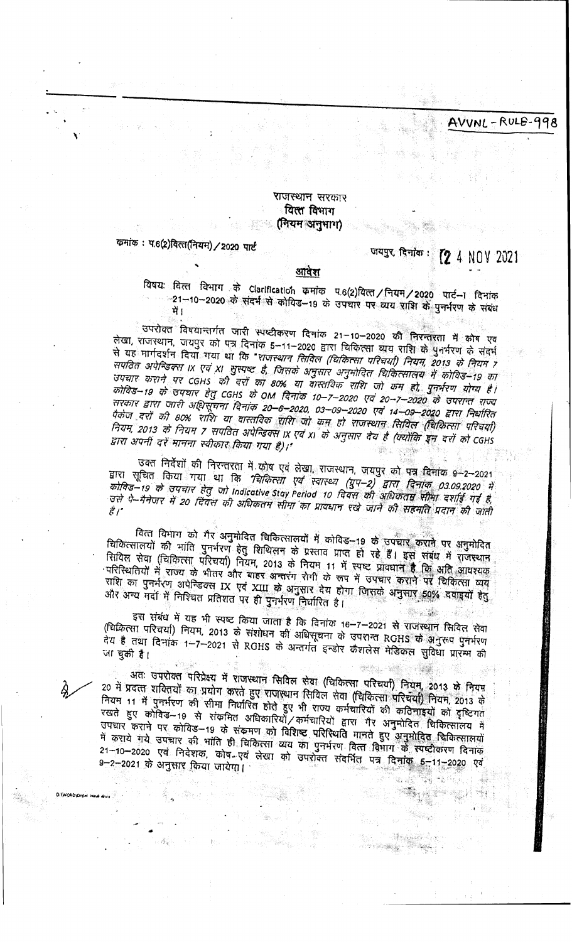AVVNL-RULE-998

#### **राजस्थान सर**कार वित्स विभाग ्रानियम अनुभाग)

कमांक: प.6(2)वित्त(नियम) / 2020 पार्ट

# जयपुर दिनांक: **[2** 4 NOV 2021

백 22일 시 

e Mangelo Ser

#### आवेश

विषयः वित्त विभाग के Clarification क्रमांक प.6(2)वित्त /नियम / 2020 पार्ट- । दिनांक -21-10-2020 के संदर्भ से कोविड-19 के उपचार पर व्यय शशि के पुनर्भरण के संबंध

्चपरोक्त विषयान्तर्गत जारी स्पष्टीकरण दिनांक 21–10–2020 की निरन्तरता में कोष एव लेखा, राजस्थान, जयपुर को पत्र दिनांक 5-11-2020 द्वारा चिकित्सा व्यय राशि के पुनर्भरण के संदर्भ से यह मार्गदर्शन दियाँ गया था कि "*राजस्थान सिविल (चिकित्सा परिचर्या) नियम 2013 के नियम 7* सपठित अपेन्डिक्स ।x एवं x। सुस्पष्ट है, जिसके अनुसार अनुमोदित घिकित्सालय में कोविड–19 का उपचार कराने पर CGHS की दरों का 80% या वास्तविक राशि जो कम हो, पुनर्भरण योग्य है। कोविड–19 के उपचार हेतु CGHS के OM दिनांक 10–7–2020 एवं 20–7–2020 के उपरान्त राज्य सरकार द्वारा जारी अधिसूँचना दिनांक 20–6–2020, 03–09–2020 एवं 14–09–2020 द्वारा निर्धारित पैकेज दरों की 80% राशि या वास्तविक शक्ति जो कम हो राजस्थान सिविल (चिकित्सा परिचया) नियम, 2013 के नियम 7 सपवित अपेन्डिक्स IX एवं XI के अनुसार देय है (क्योंकि इन दरों को CGHS द्वारा अपनी दरें मानना स्वीकार किया गया है)।'

उक्त निर्देशों की निरन्तरता में कोष एवं लेखा, राजस्थान, जयपुर को पत्र दिनांक e-2-2021 द्वारा सूचित किया गया था कि *"चिकित्सा एवं स्वास्थ्य (युप–2) द्वारा दिनांक 03.09.2020 में*<br>*कोविड़–19 के उपचार हेतु जो* Indicative Stay Period 10 दिवस की अधिकृतम सीमा दर्शाई गई है, उसे पे-मैनेजर में 20 दिवस की अधिकतम सीमा का प्रावधान रखे जाने की सहमति प्रदान की जाती

वित्त विभाग को गैर अनुमोदित चिकित्सालयों में कोविड- 19 के उपचार कराने पर अनुमोदित चिकित्सालयों की भांति पुनर्भरण हेतु शिथिलन के प्रस्ताव प्राप्त ही रहे हैं। इस संबंध में राजस्थान रियिल सेवा (चिकित्सा परिचर्या) नियम, 2013 के नियम 11 में स्पष्ट प्रावधान है कि अति आवश्यक परिस्थितियों में राज्य के भीतर और बाहर अन्तरंग रोगी के रूप में उपचार कराने पर चिकित्सा व्यय राशि का पुनर्भरण अपेन्डिक्स IX एवं XIII के अनुसार देय होगा जिसके अनुसार 50% दवाइयों हेतु और अन्य मदों में निश्चित प्रतिशत पर ही पुनर्भरण निर्धारित है।

इस संबंध में यह भी स्पष्ट किया जाता है कि दिनांक 16-7-2021 से राजस्थान सिविल सेवा (चिकित्सा परिचर्या) नियम, 2013 के संशोधन की अधिसूचना के उपशन्त RGHS के अनुरूप पुनर्भरण तेय हैं तथा दिनांक 1–7–2021 से RGHS के अन्तर्गत इन्डोर कैशलेस मेडिकल सुविधा प्रारम्भ की

अतः उपरोक्त परिप्रेक्ष्य में राजस्थान सिविल लेवा (चिकित्सा परिचर्या) नियम, 2013 के नियम 20 में प्रदत्त शक्तियों का प्रयोग करते हुए राजस्थान सिविल सेवा (चिकित्सा परिचया) नियम, 2013 के नियम 11 में पुनर्भरण की सीमा निर्धारित होते हुए भी राज्य कर्मचारियों की कठिनाइयों को दृष्टिगत रखते हुए कोविड-19 से संक्रमित अधिकारियों कर्मचारियों द्वारा गैर अनुमोदित चिकित्सालय में उपचार कराने पर कोविड़-19 के संकृमण को विशिष्ट परिस्थिति मानते हुए अनुमोदित चिकित्सालयों में कराये गये उपचार की भांति ही चिकित्सा व्यय का पुनर्भरण वित्त विभाग के स्पष्टीकरण दिनाक 21-10-2020 एवं निर्देशक, कोष-एवं लेखा को उपरोक्त संदर्भित पत्र दिनांक 5-11-2020 एवं 9–2–2021 के अनुसार किया जायेगा।